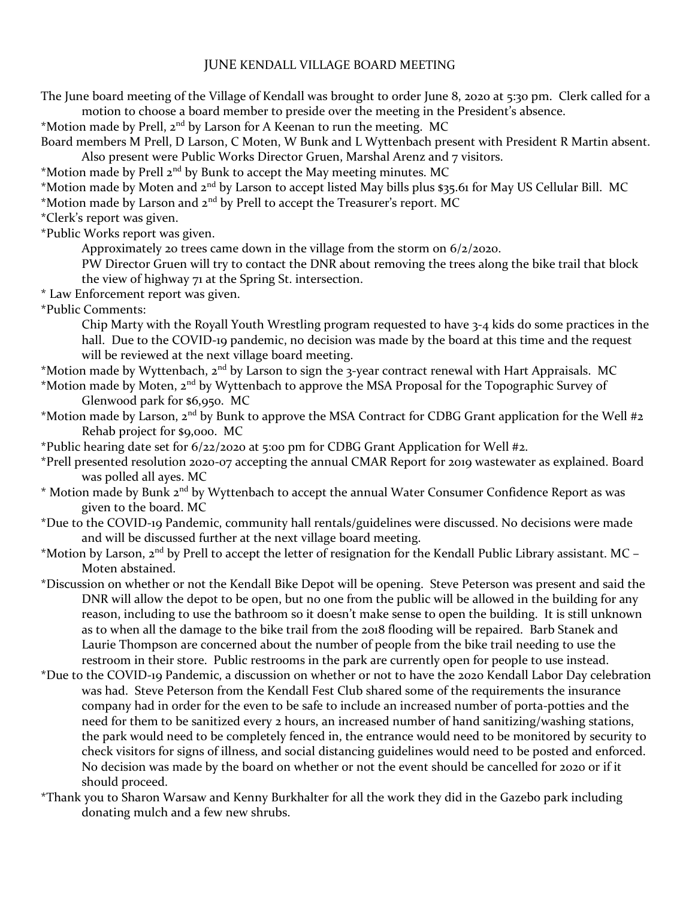## JUNE KENDALL VILLAGE BOARD MEETING

The June board meeting of the Village of Kendall was brought to order June 8, 2020 at 5:30 pm. Clerk called for a motion to choose a board member to preside over the meeting in the President's absence.

\*Motion made by Prell, 2<sup>nd</sup> by Larson for A Keenan to run the meeting. MC

Board members M Prell, D Larson, C Moten, W Bunk and L Wyttenbach present with President R Martin absent. Also present were Public Works Director Gruen, Marshal Arenz and 7 visitors.

\*Motion made by Prell  $2^{nd}$  by Bunk to accept the May meeting minutes. MC

\*Motion made by Moten and 2nd by Larson to accept listed May bills plus \$35.61 for May US Cellular Bill. MC \*Motion made by Larson and  $2^{nd}$  by Prell to accept the Treasurer's report. MC

\*Clerk's report was given.

\*Public Works report was given.

Approximately 20 trees came down in the village from the storm on 6/2/2020.

 PW Director Gruen will try to contact the DNR about removing the trees along the bike trail that block the view of highway 71 at the Spring St. intersection.

\* Law Enforcement report was given.

\*Public Comments:

 Chip Marty with the Royall Youth Wrestling program requested to have 3-4 kids do some practices in the hall. Due to the COVID-19 pandemic, no decision was made by the board at this time and the request will be reviewed at the next village board meeting.

 $*$ Motion made by Wyttenbach, 2<sup>nd</sup> by Larson to sign the 3-year contract renewal with Hart Appraisals. MC

\*Motion made by Moten, 2<sup>nd</sup> by Wyttenbach to approve the MSA Proposal for the Topographic Survey of Glenwood park for \$6,950. MC

\*Motion made by Larson,  $2^{nd}$  by Bunk to approve the MSA Contract for CDBG Grant application for the Well #2 Rehab project for \$9,000. MC

\*Public hearing date set for 6/22/2020 at 5:00 pm for CDBG Grant Application for Well #2.

\*Prell presented resolution 2020-07 accepting the annual CMAR Report for 2019 wastewater as explained. Board was polled all ayes. MC

\* Motion made by Bunk 2<sup>nd</sup> by Wyttenbach to accept the annual Water Consumer Confidence Report as was given to the board. MC

\*Due to the COVID-19 Pandemic, community hall rentals/guidelines were discussed. No decisions were made and will be discussed further at the next village board meeting.

\*Motion by Larson,  $2^{nd}$  by Prell to accept the letter of resignation for the Kendall Public Library assistant. MC – Moten abstained.

\*Discussion on whether or not the Kendall Bike Depot will be opening. Steve Peterson was present and said the DNR will allow the depot to be open, but no one from the public will be allowed in the building for any reason, including to use the bathroom so it doesn't make sense to open the building. It is still unknown as to when all the damage to the bike trail from the 2018 flooding will be repaired. Barb Stanek and Laurie Thompson are concerned about the number of people from the bike trail needing to use the restroom in their store. Public restrooms in the park are currently open for people to use instead.

\*Due to the COVID-19 Pandemic, a discussion on whether or not to have the 2020 Kendall Labor Day celebration was had. Steve Peterson from the Kendall Fest Club shared some of the requirements the insurance company had in order for the even to be safe to include an increased number of porta-potties and the need for them to be sanitized every 2 hours, an increased number of hand sanitizing/washing stations, the park would need to be completely fenced in, the entrance would need to be monitored by security to check visitors for signs of illness, and social distancing guidelines would need to be posted and enforced. No decision was made by the board on whether or not the event should be cancelled for 2020 or if it should proceed.

\*Thank you to Sharon Warsaw and Kenny Burkhalter for all the work they did in the Gazebo park including donating mulch and a few new shrubs.